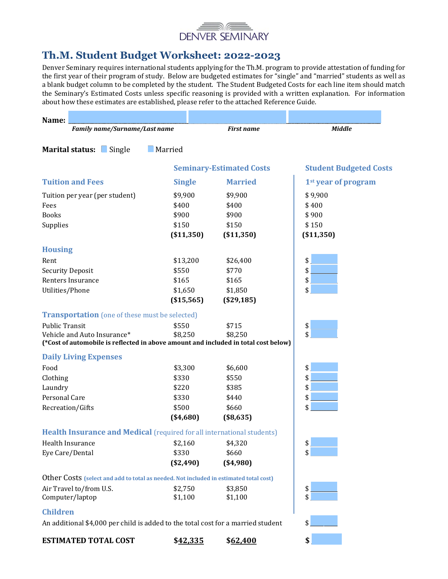

# Th.M. Student Budget Worksheet: 2022-2023

Denver Seminary requires international students applying for the Th.M. program to provide attestation of funding for the first year of their program of study. Below are budgeted estimates for "single" and "married" students as well as a blank budget column to be completed by the student. The Student Budgeted Costs for each line item should match the Seminary's Estimated Costs unless specific reasoning is provided with a written explanation. For information about how these estimates are established, please refer to the attached Reference Guide.

| Name:                                                                                 |                  |                                 |                                 |
|---------------------------------------------------------------------------------------|------------------|---------------------------------|---------------------------------|
| Family name/Surname/Last name                                                         |                  | <b>First name</b>               | <b>Middle</b>                   |
|                                                                                       | $\_$ Married     |                                 |                                 |
| Marital status: Single                                                                |                  |                                 |                                 |
|                                                                                       |                  | <b>Seminary-Estimated Costs</b> | <b>Student Budgeted Costs</b>   |
| <b>Tuition and Fees</b>                                                               | <b>Single</b>    | <b>Married</b>                  | 1 <sup>st</sup> year of program |
| Tuition per year (per student)                                                        | \$9,900          | \$9,900                         | \$9,900                         |
| Fees                                                                                  | \$400            | \$400                           | \$400                           |
| <b>Books</b>                                                                          | \$900            | \$900                           | \$900                           |
| Supplies                                                                              | \$150            | \$150                           | \$150                           |
|                                                                                       | ( \$11,350)      | ( \$11,350)                     | ( \$11,350)                     |
| <b>Housing</b>                                                                        |                  |                                 |                                 |
| Rent                                                                                  | \$13,200         | \$26,400                        | \$                              |
| <b>Security Deposit</b>                                                               | \$550            | \$770                           | \$                              |
| Renters Insurance                                                                     | \$165            | \$165                           | \$                              |
| Utilities/Phone                                                                       | \$1,650          | \$1,850                         | \$                              |
|                                                                                       | ( \$15,565)      | (\$29,185)                      |                                 |
| <b>Transportation</b> (one of these must be selected)                                 |                  |                                 |                                 |
| <b>Public Transit</b>                                                                 | \$550            | \$715                           | \$                              |
| Vehicle and Auto Insurance*                                                           | \$8,250          | \$8,250                         | \$                              |
| (*Cost of automobile is reflected in above amount and included in total cost below)   |                  |                                 |                                 |
| <b>Daily Living Expenses</b>                                                          |                  |                                 |                                 |
| Food                                                                                  | \$3,300          | \$6,600                         | \$                              |
| Clothing                                                                              | \$330            | \$550                           | \$                              |
| Laundry                                                                               | \$220            | \$385                           | \$                              |
| Personal Care                                                                         | \$330            | \$440                           | \$                              |
| Recreation/Gifts                                                                      | \$500            | \$660                           | \$                              |
|                                                                                       | ( \$4,680)       | (\$8,635)                       |                                 |
| <b>Health Insurance and Medical (required for all international students)</b>         |                  |                                 |                                 |
| Health Insurance                                                                      | \$2,160          | \$4,320                         | $\vert \mathsf{s} \vert$        |
| Eye Care/Dental                                                                       | \$330            | \$660                           | \$                              |
|                                                                                       | (\$2,490)        | ( \$4,980)                      |                                 |
| Other Costs (select and add to total as needed. Not included in estimated total cost) |                  |                                 |                                 |
| Air Travel to/from U.S.                                                               | \$2,750          | \$3,850                         | \$                              |
| Computer/laptop                                                                       | \$1,100          | \$1,100                         | \$                              |
| <b>Children</b>                                                                       |                  |                                 |                                 |
| An additional \$4,000 per child is added to the total cost for a married student      |                  |                                 | \$                              |
| <b>ESTIMATED TOTAL COST</b>                                                           | \$ <u>42,335</u> | \$62,400                        | \$                              |
|                                                                                       |                  |                                 |                                 |